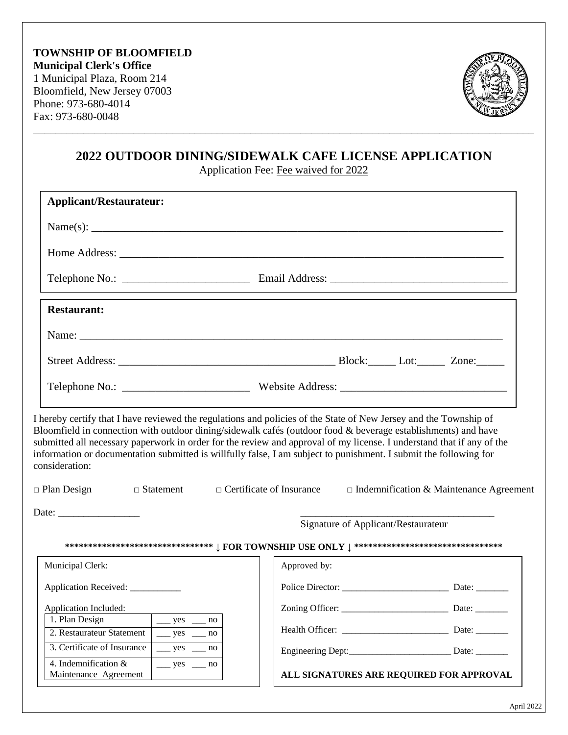

# **2022 OUTDOOR DINING/SIDEWALK CAFE LICENSE APPLICATION**

\_\_\_\_\_\_\_\_\_\_\_\_\_\_\_\_\_\_\_\_\_\_\_\_\_\_\_\_\_\_\_\_\_\_\_\_\_\_\_\_\_\_\_\_\_\_\_\_\_\_\_\_\_\_\_\_\_\_\_\_\_\_\_\_\_\_\_\_\_\_\_\_\_\_\_\_\_\_\_\_\_\_\_\_\_\_\_\_\_\_

Application Fee: Fee waived for 2022

| <b>Applicant/Restaurateur:</b>                                                                                                                                                                                                                                                                                                                                                                                                                                                                     |                                     |                                                |
|----------------------------------------------------------------------------------------------------------------------------------------------------------------------------------------------------------------------------------------------------------------------------------------------------------------------------------------------------------------------------------------------------------------------------------------------------------------------------------------------------|-------------------------------------|------------------------------------------------|
|                                                                                                                                                                                                                                                                                                                                                                                                                                                                                                    |                                     |                                                |
|                                                                                                                                                                                                                                                                                                                                                                                                                                                                                                    |                                     |                                                |
|                                                                                                                                                                                                                                                                                                                                                                                                                                                                                                    |                                     |                                                |
| <b>Restaurant:</b>                                                                                                                                                                                                                                                                                                                                                                                                                                                                                 |                                     |                                                |
|                                                                                                                                                                                                                                                                                                                                                                                                                                                                                                    |                                     |                                                |
|                                                                                                                                                                                                                                                                                                                                                                                                                                                                                                    |                                     |                                                |
|                                                                                                                                                                                                                                                                                                                                                                                                                                                                                                    |                                     |                                                |
| I hereby certify that I have reviewed the regulations and policies of the State of New Jersey and the Township of<br>Bloomfield in connection with outdoor dining/sidewalk cafés (outdoor food & beverage establishments) and have<br>submitted all necessary paperwork in order for the review and approval of my license. I understand that if any of the<br>information or documentation submitted is willfully false, I am subject to punishment. I submit the following for<br>consideration: |                                     |                                                |
| $\Box$ Statement $\Box$ Certificate of Insurance<br>$\Box$ Plan Design                                                                                                                                                                                                                                                                                                                                                                                                                             |                                     | $\Box$ Indemnification & Maintenance Agreement |
|                                                                                                                                                                                                                                                                                                                                                                                                                                                                                                    | Signature of Applicant/Restaurateur |                                                |
|                                                                                                                                                                                                                                                                                                                                                                                                                                                                                                    |                                     |                                                |
| Municipal Clerk:                                                                                                                                                                                                                                                                                                                                                                                                                                                                                   | Approved by:                        |                                                |
| Application Received: ___________                                                                                                                                                                                                                                                                                                                                                                                                                                                                  |                                     |                                                |
| Application Included:                                                                                                                                                                                                                                                                                                                                                                                                                                                                              |                                     | Date: $\_\_$                                   |
| 1. Plan Design<br>$\frac{\ }{2}$ yes $\frac{\ }{2}$ no<br>2. Restaurateur Statement<br>$\frac{\text{yes}}{\text{yes}}$ mo                                                                                                                                                                                                                                                                                                                                                                          |                                     |                                                |
| 3. Certificate of Insurance<br>$\frac{\text{yes}}{\text{yes}}$ mo<br>4. Indemnification &                                                                                                                                                                                                                                                                                                                                                                                                          |                                     |                                                |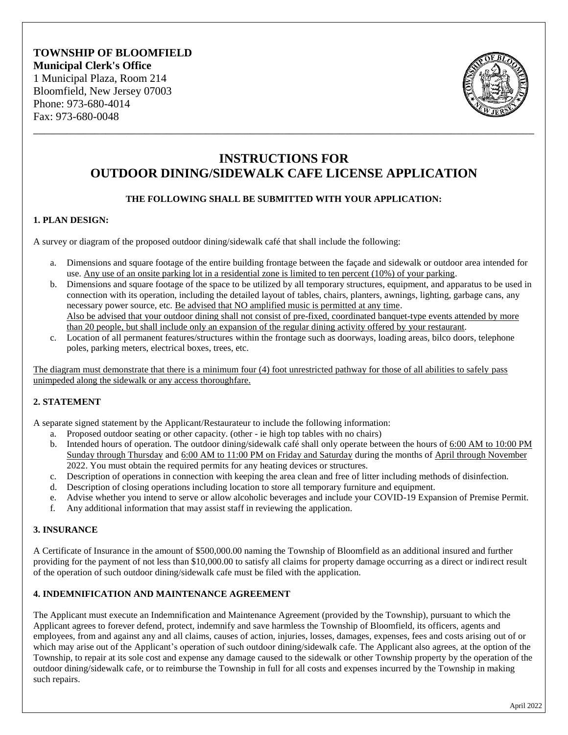## **TOWNSHIP OF BLOOMFIELD Municipal Clerk's Office** 1 Municipal Plaza, Room 214 Bloomfield, New Jersey 07003 Phone: 973-680-4014 Fax: 973-680-0048



# **INSTRUCTIONS FOR OUTDOOR DINING/SIDEWALK CAFE LICENSE APPLICATION**

\_\_\_\_\_\_\_\_\_\_\_\_\_\_\_\_\_\_\_\_\_\_\_\_\_\_\_\_\_\_\_\_\_\_\_\_\_\_\_\_\_\_\_\_\_\_\_\_\_\_\_\_\_\_\_\_\_\_\_\_\_\_\_\_\_\_\_\_\_\_\_\_\_\_\_\_\_\_\_\_\_\_\_\_\_\_\_\_\_\_

## **THE FOLLOWING SHALL BE SUBMITTED WITH YOUR APPLICATION:**

#### **1. PLAN DESIGN:**

A survey or diagram of the proposed outdoor dining/sidewalk café that shall include the following:

- a. Dimensions and square footage of the entire building frontage between the façade and sidewalk or outdoor area intended for use. Any use of an onsite parking lot in a residential zone is limited to ten percent (10%) of your parking.
- b. Dimensions and square footage of the space to be utilized by all temporary structures, equipment, and apparatus to be used in connection with its operation, including the detailed layout of tables, chairs, planters, awnings, lighting, garbage cans, any necessary power source, etc. Be advised that NO amplified music is permitted at any time. Also be advised that your outdoor dining shall not consist of pre-fixed, coordinated banquet-type events attended by more than 20 people, but shall include only an expansion of the regular dining activity offered by your restaurant.
- c. Location of all permanent features/structures within the frontage such as doorways, loading areas, bilco doors, telephone poles, parking meters, electrical boxes, trees, etc.

The diagram must demonstrate that there is a minimum four (4) foot unrestricted pathway for those of all abilities to safely pass unimpeded along the sidewalk or any access thoroughfare.

#### **2. STATEMENT**

A separate signed statement by the Applicant/Restaurateur to include the following information:

- a. Proposed outdoor seating or other capacity. (other ie high top tables with no chairs)
- b. Intended hours of operation. The outdoor dining/sidewalk café shall only operate between the hours of 6:00 AM to 10:00 PM Sunday through Thursday and 6:00 AM to 11:00 PM on Friday and Saturday during the months of April through November 2022. You must obtain the required permits for any heating devices or structures.
- c. Description of operations in connection with keeping the area clean and free of litter including methods of disinfection.
- d. Description of closing operations including location to store all temporary furniture and equipment.
- e. Advise whether you intend to serve or allow alcoholic beverages and include your COVID-19 Expansion of Premise Permit.
- f. Any additional information that may assist staff in reviewing the application.

#### **3. INSURANCE**

A Certificate of Insurance in the amount of \$500,000.00 naming the Township of Bloomfield as an additional insured and further providing for the payment of not less than \$10,000.00 to satisfy all claims for property damage occurring as a direct or indirect result of the operation of such outdoor dining/sidewalk cafe must be filed with the application.

#### **4. INDEMNIFICATION AND MAINTENANCE AGREEMENT**

The Applicant must execute an Indemnification and Maintenance Agreement (provided by the Township), pursuant to which the Applicant agrees to forever defend, protect, indemnify and save harmless the Township of Bloomfield, its officers, agents and employees, from and against any and all claims, causes of action, injuries, losses, damages, expenses, fees and costs arising out of or which may arise out of the Applicant's operation of such outdoor dining/sidewalk cafe. The Applicant also agrees, at the option of the Township, to repair at its sole cost and expense any damage caused to the sidewalk or other Township property by the operation of the outdoor dining/sidewalk cafe, or to reimburse the Township in full for all costs and expenses incurred by the Township in making such repairs.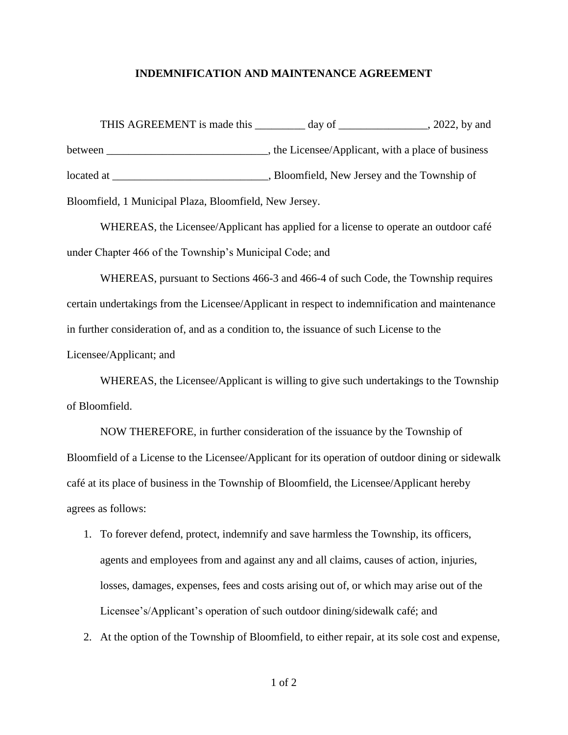#### **INDEMNIFICATION AND MAINTENANCE AGREEMENT**

THIS AGREEMENT is made this \_\_\_\_\_\_\_\_ day of \_\_\_\_\_\_\_\_\_\_\_\_\_, 2022, by and between \_\_\_\_\_\_\_\_\_\_\_\_\_\_\_\_\_\_\_\_\_\_\_\_\_\_\_\_\_\_\_, the Licensee/Applicant, with a place of business located at \_\_\_\_\_\_\_\_\_\_\_\_\_\_\_\_\_\_\_\_\_\_\_\_\_\_\_\_\_, Bloomfield, New Jersey and the Township of Bloomfield, 1 Municipal Plaza, Bloomfield, New Jersey.

WHEREAS, the Licensee/Applicant has applied for a license to operate an outdoor café under Chapter 466 of the Township's Municipal Code; and

WHEREAS, pursuant to Sections 466-3 and 466-4 of such Code, the Township requires certain undertakings from the Licensee/Applicant in respect to indemnification and maintenance in further consideration of, and as a condition to, the issuance of such License to the Licensee/Applicant; and

WHEREAS, the Licensee/Applicant is willing to give such undertakings to the Township of Bloomfield.

NOW THEREFORE, in further consideration of the issuance by the Township of Bloomfield of a License to the Licensee/Applicant for its operation of outdoor dining or sidewalk café at its place of business in the Township of Bloomfield, the Licensee/Applicant hereby agrees as follows:

- 1. To forever defend, protect, indemnify and save harmless the Township, its officers, agents and employees from and against any and all claims, causes of action, injuries, losses, damages, expenses, fees and costs arising out of, or which may arise out of the Licensee's/Applicant's operation of such outdoor dining/sidewalk café; and
- 2. At the option of the Township of Bloomfield, to either repair, at its sole cost and expense,